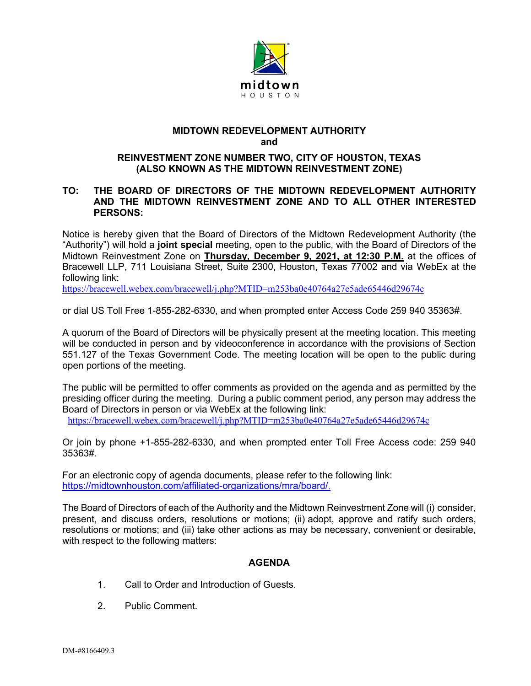

## **MIDTOWN REDEVELOPMENT AUTHORITY and**

## **REINVESTMENT ZONE NUMBER TWO, CITY OF HOUSTON, TEXAS (ALSO KNOWN AS THE MIDTOWN REINVESTMENT ZONE)**

## **TO: THE BOARD OF DIRECTORS OF THE MIDTOWN REDEVELOPMENT AUTHORITY AND THE MIDTOWN REINVESTMENT ZONE AND TO ALL OTHER INTERESTED PERSONS:**

Notice is hereby given that the Board of Directors of the Midtown Redevelopment Authority (the "Authority") will hold a **joint special** meeting, open to the public, with the Board of Directors of the Midtown Reinvestment Zone on **Thursday, December 9, 2021, at 12:30 P.M.** at the offices of Bracewell LLP, 711 Louisiana Street, Suite 2300, Houston, Texas 77002 and via WebEx at the following link:

<https://bracewell.webex.com/bracewell/j.php?MTID=m253ba0e40764a27e5ade65446d29674c>

or dial US Toll Free 1-855-282-6330, and when prompted enter Access Code 259 940 35363#.

A quorum of the Board of Directors will be physically present at the meeting location. This meeting will be conducted in person and by videoconference in accordance with the provisions of Section 551.127 of the Texas Government Code. The meeting location will be open to the public during open portions of the meeting.

The public will be permitted to offer comments as provided on the agenda and as permitted by the presiding officer during the meeting. During a public comment period, any person may address the Board of Directors in person or via WebEx at the following link:

<https://bracewell.webex.com/bracewell/j.php?MTID=m253ba0e40764a27e5ade65446d29674c>

Or join by phone +1-855-282-6330, and when prompted enter Toll Free Access code: 259 940 35363#.

For an electronic copy of agenda documents, please refer to the following link: [https://midtownhouston.com/affiliated-organizations/mra/board/.](https://midtownhouston.com/affiliated-organizations/mra/board/)

The Board of Directors of each of the Authority and the Midtown Reinvestment Zone will (i) consider, present, and discuss orders, resolutions or motions; (ii) adopt, approve and ratify such orders, resolutions or motions; and (iii) take other actions as may be necessary, convenient or desirable, with respect to the following matters:

## **AGENDA**

- 1. Call to Order and Introduction of Guests.
- 2. Public Comment.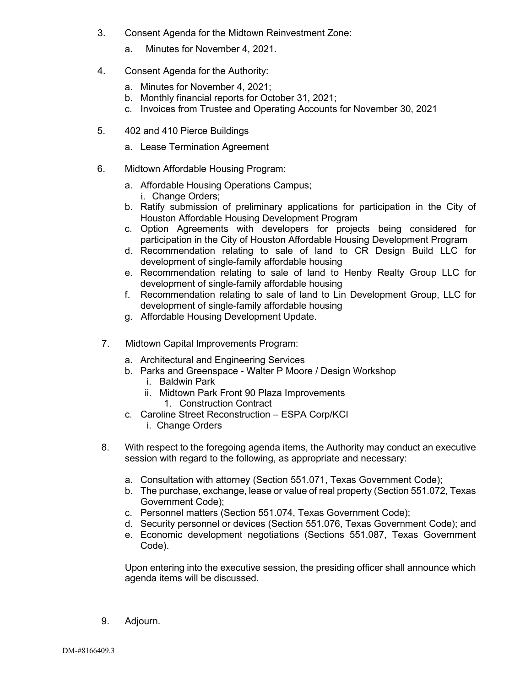- 3. Consent Agenda for the Midtown Reinvestment Zone:
	- a. Minutes for November 4, 2021.
- 4. Consent Agenda for the Authority:
	- a. Minutes for November 4, 2021;
	- b. Monthly financial reports for October 31, 2021;
	- c. Invoices from Trustee and Operating Accounts for November 30, 2021
- 5. 402 and 410 Pierce Buildings
	- a. Lease Termination Agreement
- 6. Midtown Affordable Housing Program:
	- a. Affordable Housing Operations Campus; i. Change Orders;
	- b. Ratify submission of preliminary applications for participation in the City of Houston Affordable Housing Development Program
	- c. Option Agreements with developers for projects being considered for participation in the City of Houston Affordable Housing Development Program
	- d. Recommendation relating to sale of land to CR Design Build LLC for development of single-family affordable housing
	- e. Recommendation relating to sale of land to Henby Realty Group LLC for development of single-family affordable housing
	- f. Recommendation relating to sale of land to Lin Development Group, LLC for development of single-family affordable housing
	- g. Affordable Housing Development Update.
- 7. Midtown Capital Improvements Program:
	- a. Architectural and Engineering Services
	- b. Parks and Greenspace Walter P Moore / Design Workshop
		- i. Baldwin Park
		- ii. Midtown Park Front 90 Plaza Improvements
			- 1. Construction Contract
	- c. Caroline Street Reconstruction ESPA Corp/KCI i. Change Orders
- 8. With respect to the foregoing agenda items, the Authority may conduct an executive session with regard to the following, as appropriate and necessary:
	- a. Consultation with attorney (Section 551.071, Texas Government Code);
	- b. The purchase, exchange, lease or value of real property (Section 551.072, Texas Government Code);
	- c. Personnel matters (Section 551.074, Texas Government Code);
	- d. Security personnel or devices (Section 551.076, Texas Government Code); and
	- e. Economic development negotiations (Sections 551.087, Texas Government Code).

Upon entering into the executive session, the presiding officer shall announce which agenda items will be discussed.

9. Adjourn.